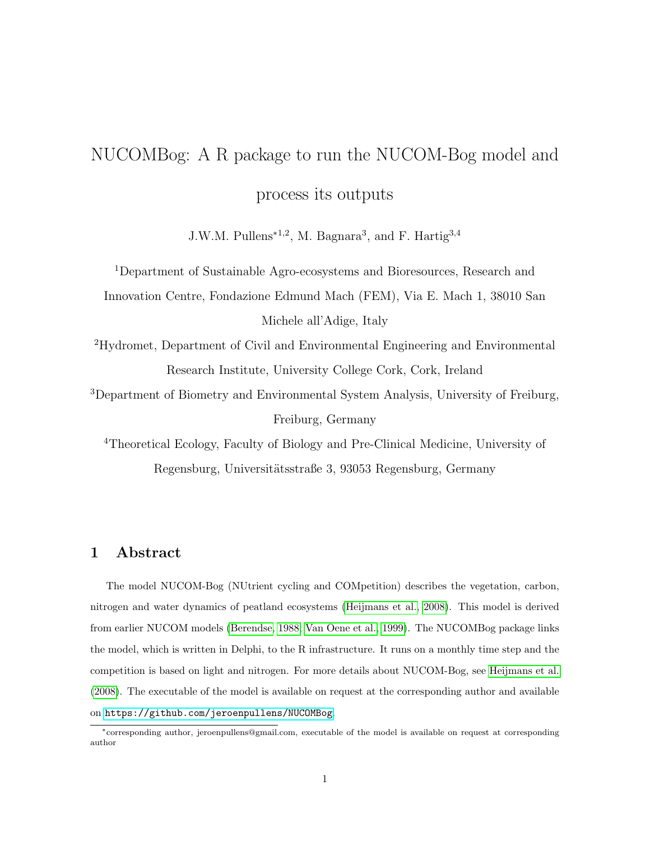# NUCOMBog: A R package to run the NUCOM-Bog model and process its outputs

J.W.M. Pullens<sup>\*1,2</sup>, M. Bagnara<sup>3</sup>, and F. Hartig<sup>3,4</sup>

<sup>1</sup>Department of Sustainable Agro-ecosystems and Bioresources, Research and Innovation Centre, Fondazione Edmund Mach (FEM), Via E. Mach 1, 38010 San Michele all'Adige, Italy

<sup>2</sup>Hydromet, Department of Civil and Environmental Engineering and Environmental Research Institute, University College Cork, Cork, Ireland

<sup>3</sup>Department of Biometry and Environmental System Analysis, University of Freiburg, Freiburg, Germany

<sup>4</sup>Theoretical Ecology, Faculty of Biology and Pre-Clinical Medicine, University of Regensburg, Universitätsstraße 3, 93053 Regensburg, Germany

## 1 Abstract

The model NUCOM-Bog (NUtrient cycling and COMpetition) describes the vegetation, carbon, nitrogen and water dynamics of peatland ecosystems [\(Heijmans et al., 2008\)](#page-6-0). This model is derived from earlier NUCOM models [\(Berendse, 1988;](#page-6-1) [Van Oene et al., 1999\)](#page-6-2). The NUCOMBog package links the model, which is written in Delphi, to the R infrastructure. It runs on a monthly time step and the competition is based on light and nitrogen. For more details about NUCOM-Bog, see [Heijmans et al.](#page-6-0) [\(2008\)](#page-6-0). The executable of the model is available on request at the corresponding author and available on <https://github.com/jeroenpullens/NUCOMBog>.

<sup>∗</sup>corresponding author, jeroenpullens@gmail.com, executable of the model is available on request at corresponding author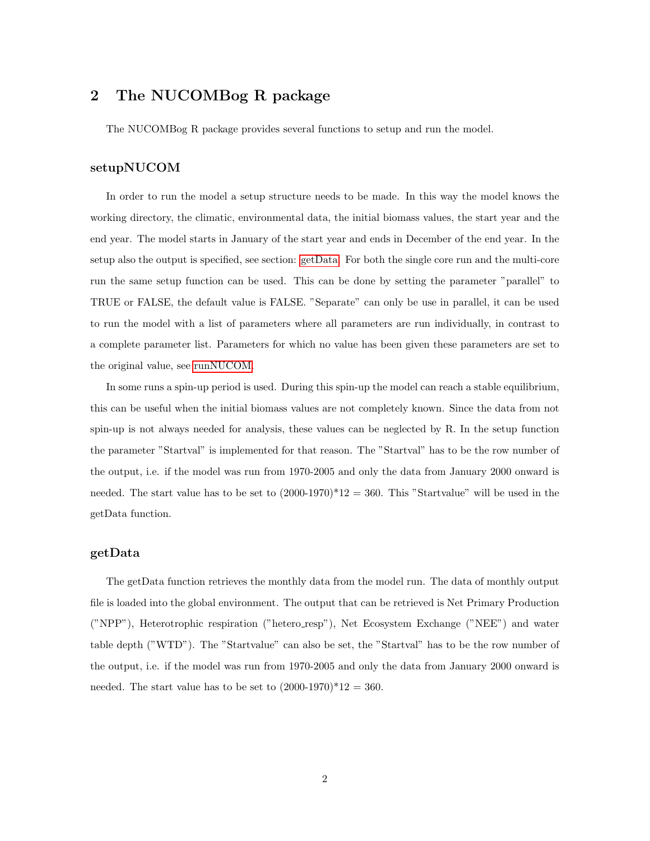## 2 The NUCOMBog R package

The NUCOMBog R package provides several functions to setup and run the model.

#### setupNUCOM

In order to run the model a setup structure needs to be made. In this way the model knows the working directory, the climatic, environmental data, the initial biomass values, the start year and the end year. The model starts in January of the start year and ends in December of the end year. In the setup also the output is specified, see section: [getData.](#page-1-0) For both the single core run and the multi-core run the same setup function can be used. This can be done by setting the parameter "parallel" to TRUE or FALSE, the default value is FALSE. "Separate" can only be use in parallel, it can be used to run the model with a list of parameters where all parameters are run individually, in contrast to a complete parameter list. Parameters for which no value has been given these parameters are set to the original value, see [runNUCOM.](#page-2-0)

In some runs a spin-up period is used. During this spin-up the model can reach a stable equilibrium, this can be useful when the initial biomass values are not completely known. Since the data from not spin-up is not always needed for analysis, these values can be neglected by R. In the setup function the parameter "Startval" is implemented for that reason. The "Startval" has to be the row number of the output, i.e. if the model was run from 1970-2005 and only the data from January 2000 onward is needed. The start value has to be set to  $(2000-1970)^*12 = 360$ . This "Startvalue" will be used in the getData function.

#### <span id="page-1-0"></span>getData

The getData function retrieves the monthly data from the model run. The data of monthly output file is loaded into the global environment. The output that can be retrieved is Net Primary Production ("NPP"), Heterotrophic respiration ("hetero resp"), Net Ecosystem Exchange ("NEE") and water table depth ("WTD"). The "Startvalue" can also be set, the "Startval" has to be the row number of the output, i.e. if the model was run from 1970-2005 and only the data from January 2000 onward is needed. The start value has to be set to  $(2000-1970)^*12 = 360$ .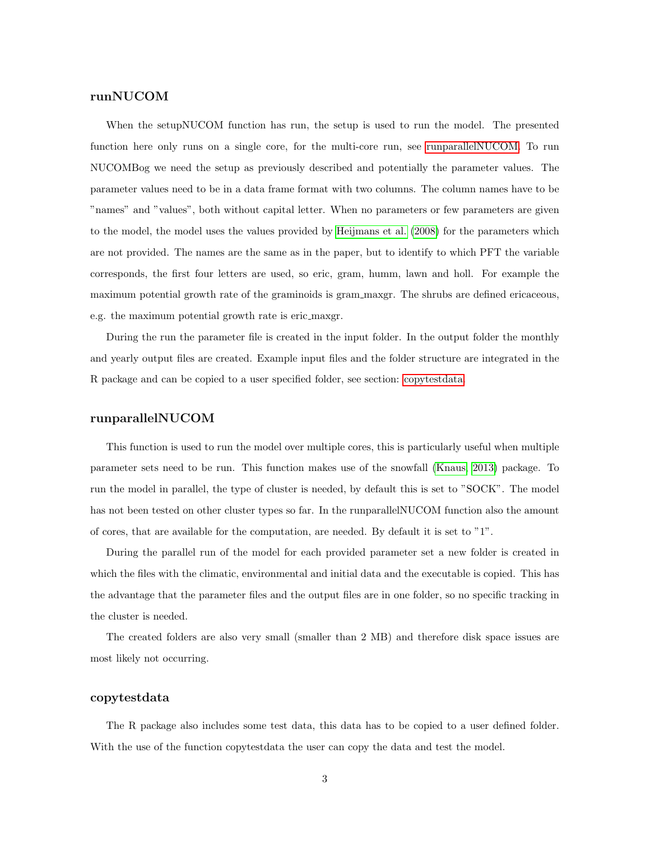#### <span id="page-2-0"></span>runNUCOM

When the setupNUCOM function has run, the setup is used to run the model. The presented function here only runs on a single core, for the multi-core run, see [runparallelNUCOM.](#page-2-1) To run NUCOMBog we need the setup as previously described and potentially the parameter values. The parameter values need to be in a data frame format with two columns. The column names have to be "names" and "values", both without capital letter. When no parameters or few parameters are given to the model, the model uses the values provided by [Heijmans et al.](#page-6-0) [\(2008\)](#page-6-0) for the parameters which are not provided. The names are the same as in the paper, but to identify to which PFT the variable corresponds, the first four letters are used, so eric, gram, humm, lawn and holl. For example the maximum potential growth rate of the graminoids is gram maxgr. The shrubs are defined ericaceous, e.g. the maximum potential growth rate is eric maxgr.

During the run the parameter file is created in the input folder. In the output folder the monthly and yearly output files are created. Example input files and the folder structure are integrated in the R package and can be copied to a user specified folder, see section: [copytestdata.](#page-2-2)

#### <span id="page-2-1"></span>runparallelNUCOM

This function is used to run the model over multiple cores, this is particularly useful when multiple parameter sets need to be run. This function makes use of the snowfall [\(Knaus, 2013\)](#page-6-3) package. To run the model in parallel, the type of cluster is needed, by default this is set to "SOCK". The model has not been tested on other cluster types so far. In the runparallelNUCOM function also the amount of cores, that are available for the computation, are needed. By default it is set to "1".

During the parallel run of the model for each provided parameter set a new folder is created in which the files with the climatic, environmental and initial data and the executable is copied. This has the advantage that the parameter files and the output files are in one folder, so no specific tracking in the cluster is needed.

The created folders are also very small (smaller than 2 MB) and therefore disk space issues are most likely not occurring.

#### <span id="page-2-2"></span>copytestdata

The R package also includes some test data, this data has to be copied to a user defined folder. With the use of the function copytestdata the user can copy the data and test the model.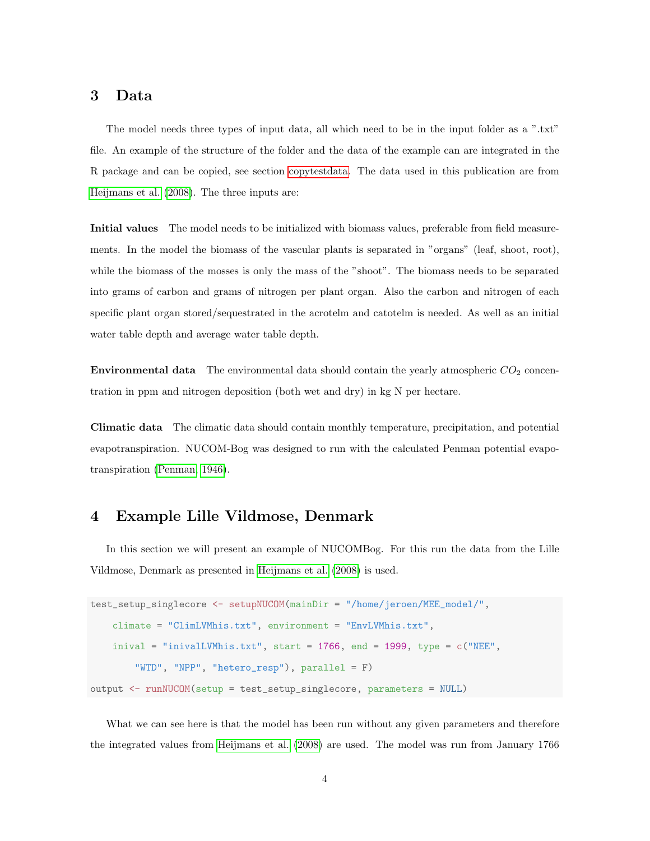## 3 Data

The model needs three types of input data, all which need to be in the input folder as a ".txt" file. An example of the structure of the folder and the data of the example can are integrated in the R package and can be copied, see section [copytestdata.](#page-2-2) The data used in this publication are from [Heijmans et al.](#page-6-0) [\(2008\)](#page-6-0). The three inputs are:

Initial values The model needs to be initialized with biomass values, preferable from field measurements. In the model the biomass of the vascular plants is separated in "organs" (leaf, shoot, root), while the biomass of the mosses is only the mass of the "shoot". The biomass needs to be separated into grams of carbon and grams of nitrogen per plant organ. Also the carbon and nitrogen of each specific plant organ stored/sequestrated in the acrotelm and catotelm is needed. As well as an initial water table depth and average water table depth.

**Environmental data** The environmental data should contain the yearly atmospheric  $CO<sub>2</sub>$  concentration in ppm and nitrogen deposition (both wet and dry) in kg N per hectare.

Climatic data The climatic data should contain monthly temperature, precipitation, and potential evapotranspiration. NUCOM-Bog was designed to run with the calculated Penman potential evapotranspiration [\(Penman, 1946\)](#page-6-4).

## 4 Example Lille Vildmose, Denmark

In this section we will present an example of NUCOMBog. For this run the data from the Lille Vildmose, Denmark as presented in [Heijmans et al.](#page-6-0) [\(2008\)](#page-6-0) is used.

```
test_setup_singlecore <- setupNUCOM(mainDir = "/home/jeroen/MEE_model/",
    climate = "ClimLVMhis.txt", environment = "EnvLVMhis.txt",
    inival = "inivalLVMhis.txt", start = 1766, end = 1999, type = c("NEE","WTD", "NPP", "hetero_resp"), parallel = F)
output <- runNUCOM(setup = test_setup_singlecore, parameters = NULL)
```
What we can see here is that the model has been run without any given parameters and therefore the integrated values from [Heijmans et al.](#page-6-0) [\(2008\)](#page-6-0) are used. The model was run from January 1766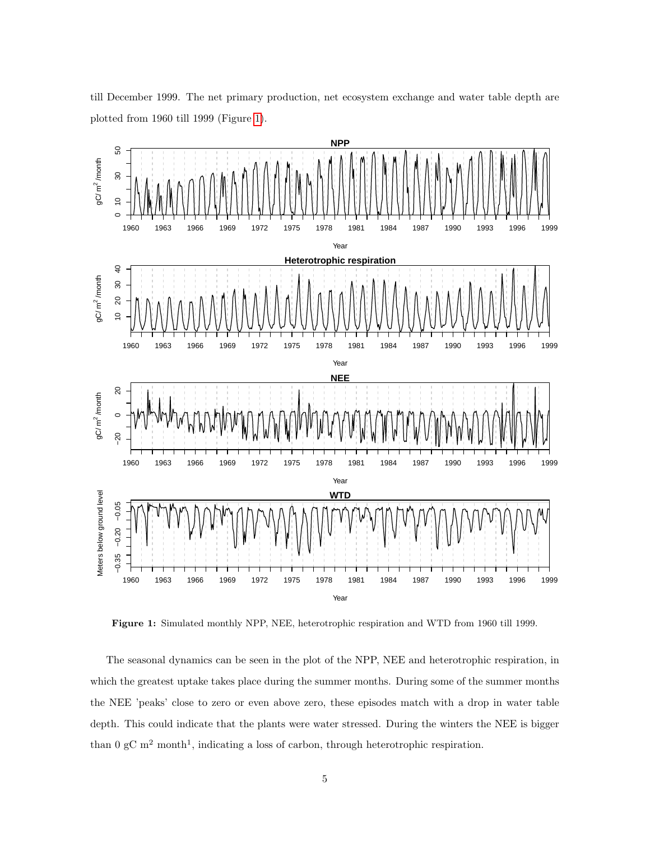<span id="page-4-0"></span>

till December 1999. The net primary production, net ecosystem exchange and water table depth are plotted from 1960 till 1999 (Figure [1\)](#page-4-0).

Figure 1: Simulated monthly NPP, NEE, heterotrophic respiration and WTD from 1960 till 1999.

The seasonal dynamics can be seen in the plot of the NPP, NEE and heterotrophic respiration, in which the greatest uptake takes place during the summer months. During some of the summer months the NEE 'peaks' close to zero or even above zero, these episodes match with a drop in water table depth. This could indicate that the plants were water stressed. During the winters the NEE is bigger than  $0 \text{ gC m}^2$  month<sup>1</sup>, indicating a loss of carbon, through heterotrophic respiration.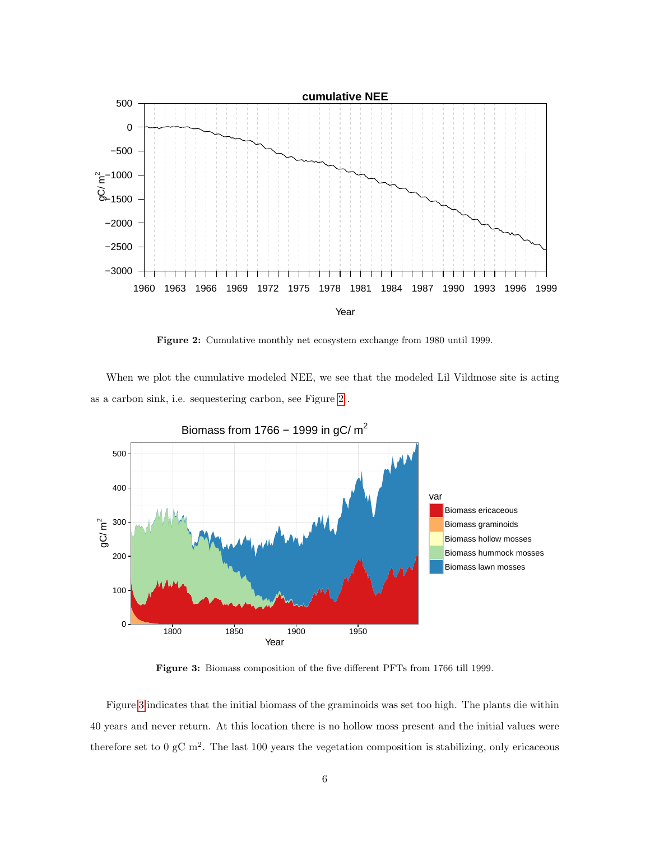<span id="page-5-0"></span>

Figure 2: Cumulative monthly net ecosystem exchange from 1980 until 1999.

When we plot the cumulative modeled NEE, we see that the modeled Lil Vildmose site is acting as a carbon sink, i.e. sequestering carbon, see Figure [2](#page-5-0) .

<span id="page-5-1"></span>

Figure 3: Biomass composition of the five different PFTs from 1766 till 1999.

Figure [3](#page-5-1) indicates that the initial biomass of the graminoids was set too high. The plants die within 40 years and never return. At this location there is no hollow moss present and the initial values were therefore set to  $0 \text{ gC m}^2$ . The last 100 years the vegetation composition is stabilizing, only ericaceous